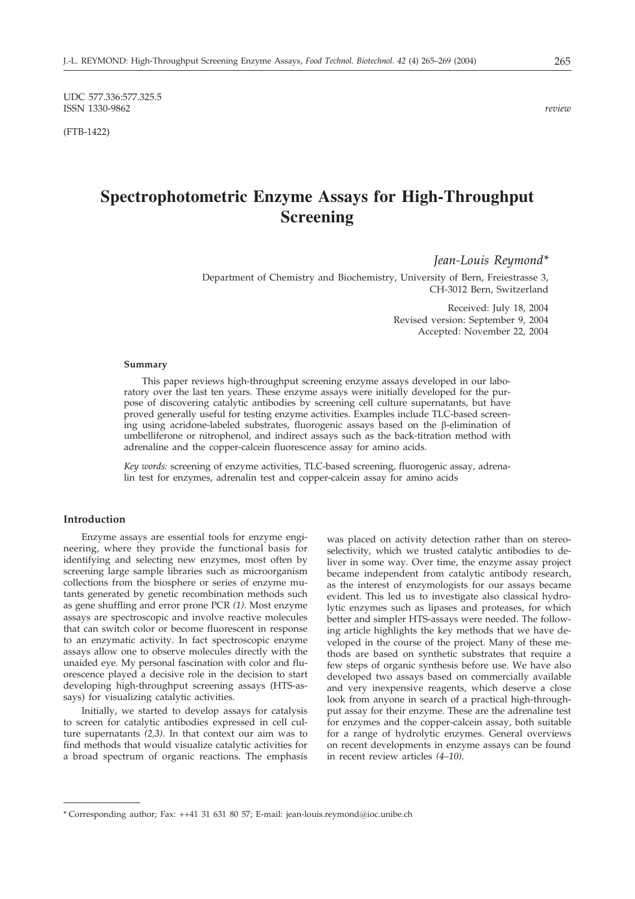UDC 577.336:577.325.5 ISSN 1330-9862 *review*

(FTB-1422)

# **Spectrophotometric Enzyme Assays for High-Throughput Screening**

*Jean-Louis Reymond\**

Department of Chemistry and Biochemistry, University of Bern, Freiestrasse 3, CH-3012 Bern, Switzerland

> Received: July 18, 2004 Revised version: September 9, 2004 Accepted: November 22, 2004

#### **Summary**

This paper reviews high-throughput screening enzyme assays developed in our laboratory over the last ten years. These enzyme assays were initially developed for the purpose of discovering catalytic antibodies by screening cell culture supernatants, but have proved generally useful for testing enzyme activities. Examples include TLC-based screening using acridone-labeled substrates, fluorogenic assays based on the  $\beta$ -elimination of umbelliferone or nitrophenol, and indirect assays such as the back-titration method with adrenaline and the copper-calcein fluorescence assay for amino acids.

*Key words:* screening of enzyme activities, TLC-based screening, fluorogenic assay, adrenalin test for enzymes, adrenalin test and copper-calcein assay for amino acids

## **Introduction**

Enzyme assays are essential tools for enzyme engineering, where they provide the functional basis for identifying and selecting new enzymes, most often by screening large sample libraries such as microorganism collections from the biosphere or series of enzyme mutants generated by genetic recombination methods such as gene shuffling and error prone PCR *(1)*. Most enzyme assays are spectroscopic and involve reactive molecules that can switch color or become fluorescent in response to an enzymatic activity. In fact spectroscopic enzyme assays allow one to observe molecules directly with the unaided eye. My personal fascination with color and fluorescence played a decisive role in the decision to start developing high-throughput screening assays (HTS-assays) for visualizing catalytic activities.

Initially, we started to develop assays for catalysis to screen for catalytic antibodies expressed in cell culture supernatants *(2,3)*. In that context our aim was to find methods that would visualize catalytic activities for a broad spectrum of organic reactions. The emphasis was placed on activity detection rather than on stereoselectivity, which we trusted catalytic antibodies to deliver in some way. Over time, the enzyme assay project became independent from catalytic antibody research, as the interest of enzymologists for our assays became evident. This led us to investigate also classical hydrolytic enzymes such as lipases and proteases, for which better and simpler HTS-assays were needed. The following article highlights the key methods that we have developed in the course of the project. Many of these methods are based on synthetic substrates that require a few steps of organic synthesis before use. We have also developed two assays based on commercially available and very inexpensive reagents, which deserve a close look from anyone in search of a practical high-throughput assay for their enzyme. These are the adrenaline test for enzymes and the copper-calcein assay, both suitable for a range of hydrolytic enzymes. General overviews on recent developments in enzyme assays can be found in recent review articles *(4–10)*.

<sup>\*</sup> Corresponding author; Fax: ++41 31 631 80 57; E-mail: jean-louis.reymond*@*ioc.unibe.ch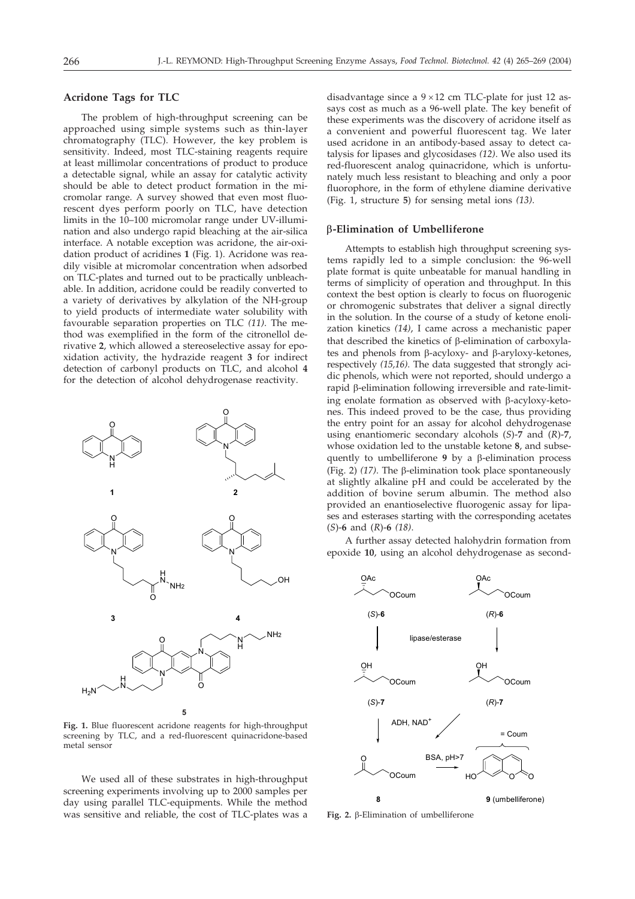# **Acridone Tags for TLC**

The problem of high-throughput screening can be approached using simple systems such as thin-layer chromatography (TLC). However, the key problem is sensitivity. Indeed, most TLC-staining reagents require at least millimolar concentrations of product to produce a detectable signal, while an assay for catalytic activity should be able to detect product formation in the micromolar range. A survey showed that even most fluorescent dyes perform poorly on TLC, have detection limits in the 10–100 micromolar range under UV-illumination and also undergo rapid bleaching at the air-silica interface. A notable exception was acridone, the air-oxidation product of acridines **1** (Fig. 1). Acridone was readily visible at micromolar concentration when adsorbed on TLC-plates and turned out to be practically unbleachable. In addition, acridone could be readily converted to a variety of derivatives by alkylation of the NH-group to yield products of intermediate water solubility with favourable separation properties on TLC *(11)*. The method was exemplified in the form of the citronellol derivative **2**, which allowed a stereoselective assay for epoxidation activity, the hydrazide reagent **3** for indirect detection of carbonyl products on TLC, and alcohol **4** for the detection of alcohol dehydrogenase reactivity.



**Fig. 1.** Blue fluorescent acridone reagents for high-throughput screening by TLC, and a red-fluorescent quinacridone-based metal sensor

We used all of these substrates in high-throughput screening experiments involving up to 2000 samples per day using parallel TLC-equipments. While the method was sensitive and reliable, the cost of TLC-plates was a

disadvantage since a  $9 \times 12$  cm TLC-plate for just 12 assays cost as much as a 96-well plate. The key benefit of these experiments was the discovery of acridone itself as a convenient and powerful fluorescent tag. We later used acridone in an antibody-based assay to detect catalysis for lipases and glycosidases *(12)*. We also used its red-fluorescent analog quinacridone, which is unfortunately much less resistant to bleaching and only a poor fluorophore, in the form of ethylene diamine derivative (Fig. 1, structure **5**) for sensing metal ions *(13)*.

#### **-Elimination of Umbelliferone**

Attempts to establish high throughput screening systems rapidly led to a simple conclusion: the 96-well plate format is quite unbeatable for manual handling in terms of simplicity of operation and throughput. In this context the best option is clearly to focus on fluorogenic or chromogenic substrates that deliver a signal directly in the solution. In the course of a study of ketone enolization kinetics *(14)*, I came across a mechanistic paper that described the kinetics of  $\beta$ -elimination of carboxylates and phenols from  $\beta$ -acyloxy- and  $\beta$ -aryloxy-ketones, respectively *(15,16)*. The data suggested that strongly acidic phenols, which were not reported, should undergo a  $r$ apid  $\beta$ -elimination following irreversible and rate-limiting enolate formation as observed with  $\beta$ -acyloxy-ketones. This indeed proved to be the case, thus providing the entry point for an assay for alcohol dehydrogenase using enantiomeric secondary alcohols (*S*)-**7** and (*R*)-**7**, whose oxidation led to the unstable ketone **8**, and subsequently to umbelliferone  $9$  by a  $\beta$ -elimination process (Fig. 2)  $(17)$ . The  $\beta$ -elimination took place spontaneously at slightly alkaline pH and could be accelerated by the addition of bovine serum albumin. The method also provided an enantioselective fluorogenic assay for lipases and esterases starting with the corresponding acetates (*S*)-**6** and (*R*)-**6** *(18)*.

A further assay detected halohydrin formation from epoxide **10**, using an alcohol dehydrogenase as second-



Fig. 2.  $\beta$ -Elimination of umbelliferone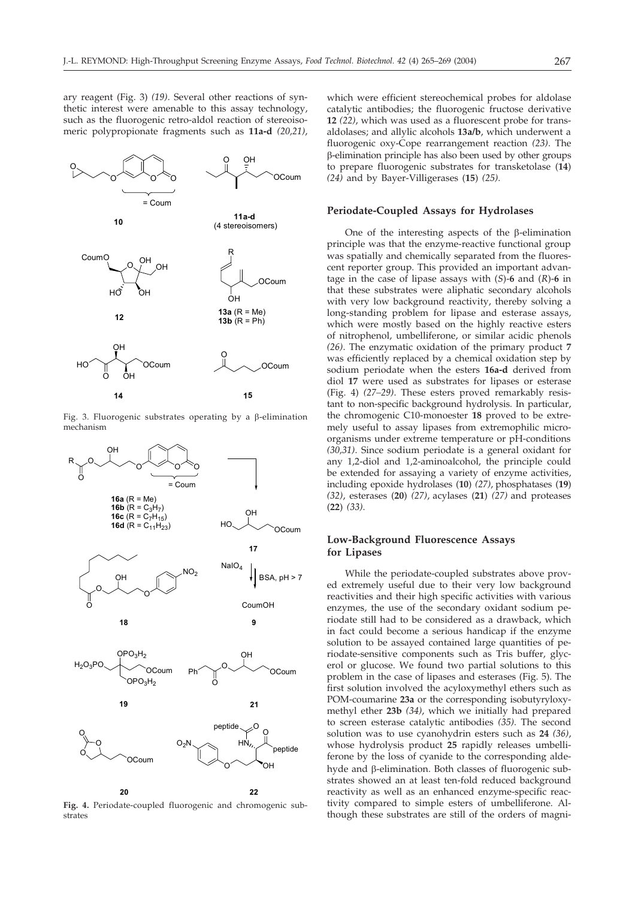ary reagent (Fig. 3) *(19)*. Several other reactions of synthetic interest were amenable to this assay technology, such as the fluorogenic retro-aldol reaction of stereoisomeric polypropionate fragments such as **11a-d** *(20,21)*,



Fig. 3. Fluorogenic substrates operating by a  $\beta$ -elimination mechanism



**Fig. 4.** Periodate-coupled fluorogenic and chromogenic substrates

which were efficient stereochemical probes for aldolase catalytic antibodies; the fluorogenic fructose derivative **12** *(22)*, which was used as a fluorescent probe for transaldolases; and allylic alcohols **13a/b**, which underwent a fluorogenic oxy-Cope rearrangement reaction *(23)*. The -elimination principle has also been used by other groups to prepare fluorogenic substrates for transketolase (**14**) *(24)* and by Bayer-Villigerases (**15**) *(25)*.

#### **Periodate-Coupled Assays for Hydrolases**

One of the interesting aspects of the  $\beta$ -elimination principle was that the enzyme-reactive functional group was spatially and chemically separated from the fluorescent reporter group. This provided an important advantage in the case of lipase assays with (*S*)-**6** and (*R*)-**6** in that these substrates were aliphatic secondary alcohols with very low background reactivity, thereby solving a long-standing problem for lipase and esterase assays, which were mostly based on the highly reactive esters of nitrophenol, umbelliferone, or similar acidic phenols *(26)*. The enzymatic oxidation of the primary product **7** was efficiently replaced by a chemical oxidation step by sodium periodate when the esters **16a-d** derived from diol **17** were used as substrates for lipases or esterase (Fig. 4) *(27–29)*. These esters proved remarkably resistant to non-specific background hydrolysis. In particular, the chromogenic C10-monoester **18** proved to be extremely useful to assay lipases from extremophilic microorganisms under extreme temperature or pH-conditions *(30,31)*. Since sodium periodate is a general oxidant for any 1,2-diol and 1,2-aminoalcohol, the principle could be extended for assaying a variety of enzyme activities, including epoxide hydrolases (**10**) *(27)*, phosphatases (**19**) *(32)*, esterases (**20**) *(27)*, acylases (**21**) *(27)* and proteases (**22**) *(33)*.

## **Low-Background Fluorescence Assays for Lipases**

While the periodate-coupled substrates above proved extremely useful due to their very low background reactivities and their high specific activities with various enzymes, the use of the secondary oxidant sodium periodate still had to be considered as a drawback, which in fact could become a serious handicap if the enzyme solution to be assayed contained large quantities of periodate-sensitive components such as Tris buffer, glycerol or glucose. We found two partial solutions to this problem in the case of lipases and esterases (Fig. 5). The first solution involved the acyloxymethyl ethers such as POM-coumarine **23a** or the corresponding isobutyryloxymethyl ether **23b** *(34)*, which we initially had prepared to screen esterase catalytic antibodies *(35)*. The second solution was to use cyanohydrin esters such as **24** *(36)*, whose hydrolysis product **25** rapidly releases umbelliferone by the loss of cyanide to the corresponding aldehyde and  $\beta$ -elimination. Both classes of fluorogenic substrates showed an at least ten-fold reduced background reactivity as well as an enhanced enzyme-specific reactivity compared to simple esters of umbelliferone. Although these substrates are still of the orders of magni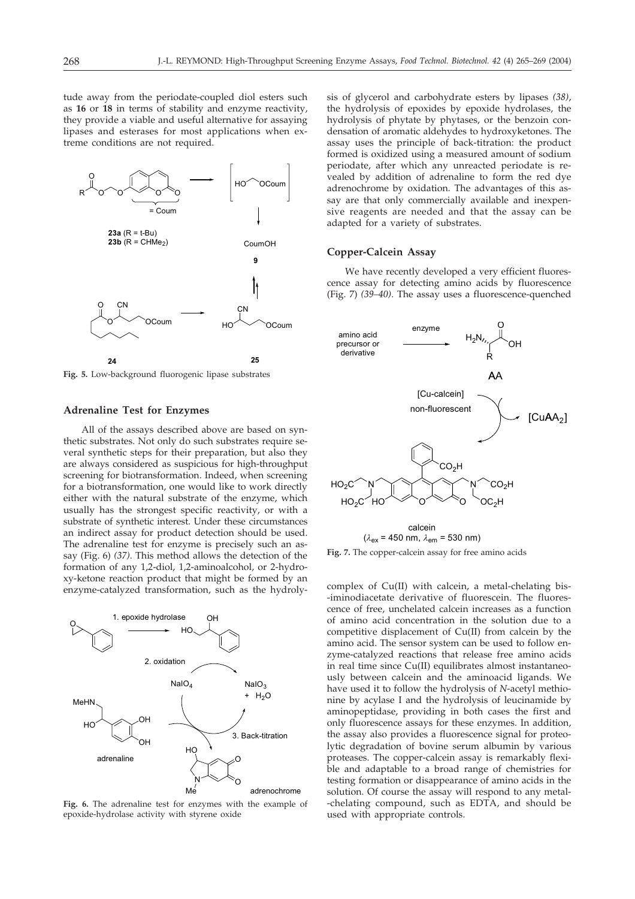tude away from the periodate-coupled diol esters such as **16** or **18** in terms of stability and enzyme reactivity, they provide a viable and useful alternative for assaying lipases and esterases for most applications when extreme conditions are not required.



**Fig. 5.** Low-background fluorogenic lipase substrates

# **Adrenaline Test for Enzymes**

All of the assays described above are based on synthetic substrates. Not only do such substrates require several synthetic steps for their preparation, but also they are always considered as suspicious for high-throughput screening for biotransformation. Indeed, when screening for a biotransformation, one would like to work directly either with the natural substrate of the enzyme, which usually has the strongest specific reactivity, or with a substrate of synthetic interest. Under these circumstances an indirect assay for product detection should be used. The adrenaline test for enzyme is precisely such an assay (Fig. 6) *(37)*. This method allows the detection of the formation of any 1,2-diol, 1,2-aminoalcohol, or 2-hydroxy-ketone reaction product that might be formed by an enzyme-catalyzed transformation, such as the hydroly-



**Fig. 6.** The adrenaline test for enzymes with the example of epoxide-hydrolase activity with styrene oxide

sis of glycerol and carbohydrate esters by lipases *(38)*, the hydrolysis of epoxides by epoxide hydrolases, the hydrolysis of phytate by phytases, or the benzoin condensation of aromatic aldehydes to hydroxyketones. The assay uses the principle of back-titration: the product formed is oxidized using a measured amount of sodium periodate, after which any unreacted periodate is revealed by addition of adrenaline to form the red dye adrenochrome by oxidation. The advantages of this assay are that only commercially available and inexpensive reagents are needed and that the assay can be adapted for a variety of substrates.

## **Copper-Calcein Assay**

We have recently developed a very efficient fluorescence assay for detecting amino acids by fluorescence (Fig. 7) *(39–40)*. The assay uses a fluorescence-quenched



**Fig. 7.** The copper-calcein assay for free amino acids

complex of Cu(II) with calcein, a metal-chelating bis- -iminodiacetate derivative of fluorescein. The fluorescence of free, unchelated calcein increases as a function of amino acid concentration in the solution due to a competitive displacement of Cu(II) from calcein by the amino acid. The sensor system can be used to follow enzyme-catalyzed reactions that release free amino acids in real time since Cu(II) equilibrates almost instantaneously between calcein and the aminoacid ligands. We have used it to follow the hydrolysis of *N*-acetyl methionine by acylase I and the hydrolysis of leucinamide by aminopeptidase, providing in both cases the first and only fluorescence assays for these enzymes. In addition, the assay also provides a fluorescence signal for proteolytic degradation of bovine serum albumin by various proteases. The copper-calcein assay is remarkably flexible and adaptable to a broad range of chemistries for testing formation or disappearance of amino acids in the solution. Of course the assay will respond to any metal- -chelating compound, such as EDTA, and should be used with appropriate controls.